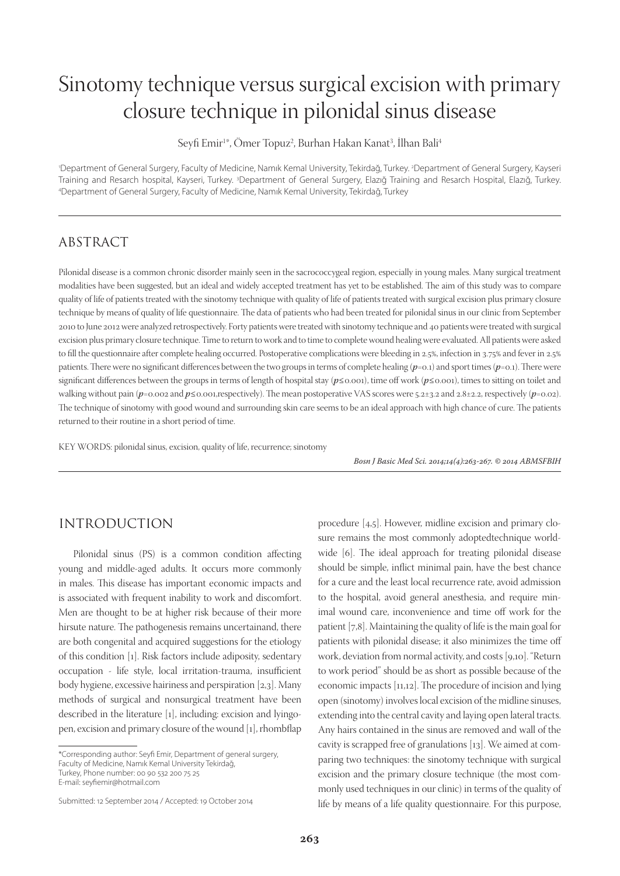# Sinotomy technique versus surgical excision with primary closure technique in pilonidal sinus disease

Seyfi Emir<sup>1</sup>\*, Ömer Topuz<sup>2</sup>, Burhan Hakan Kanat<sup>3</sup>, İlhan Bali<sup>4</sup>

1 Department of General Surgery, Faculty of Medicine, Namık Kemal University, Tekirdağ, Turkey. 2 Department of General Surgery, Kayseri Training and Resarch hospital, Kayseri, Turkey. <sup>3</sup>Department of General Surgery, Elazığ Training and Resarch Hospital, Elazığ, Turkey.<br>4Department of General Surgery Faculty of Medicine Namık Kemal University Tekirdağ Tur Department of General Surgery, Faculty of Medicine, Namık Kemal University, Tekirdağ, Turkey

### ABSTRACT

Pilonidal disease is a common chronic disorder mainly seen in the sacrococcygeal region, especially in young males. Many surgical treatment modalities have been suggested, but an ideal and widely accepted treatment has yet to be established. The aim of this study was to compare quality of life of patients treated with the sinotomy technique with quality of life of patients treated with surgical excision plus primary closure technique by means of quality of life questionnaire. The data of patients who had been treated for pilonidal sinus in our clinic from September 2010 to June 2012 were analyzed retrospectively. Forty patients were treated with sinotomy technique and 40 patients were treated with surgical excision plus primary closure technique. Time to return to work and to time to complete wound healing were evaluated. All patients were asked to fill the questionnaire after complete healing occurred. Postoperative complications were bleeding in 2.5%, infection in 3.75% and fever in 2.5% patients. There were no significant differences between the two groups in terms of complete healing  $(p=0.1)$  and sport times  $(p=0.1)$ . There were significant differences between the groups in terms of length of hospital stay (p≤0.001), time off work (p≤0.001), times to sitting on toilet and walking without pain ( $p=0.002$  and  $p\leq 0.001$ , respectively). The mean postoperative VAS scores were 5.2±3.2 and 2.8±2.2, respectively ( $p=0.02$ ). The technique of sinotomy with good wound and surrounding skin care seems to be an ideal approach with high chance of cure. The patients returned to their routine in a short period of time.

KEY WORDS: pilonidal sinus, excision, quality of life, recurrence; sinotomy

Bosn J Basic Med Sci. 2014;14(4):263-267. © 2014 ABMSFBIH

## INTRODUCTION

Pilonidal sinus (PS) is a common condition affecting young and middle-aged adults. It occurs more commonly in males. This disease has important economic impacts and is associated with frequent inability to work and discomfort. Men are thought to be at higher risk because of their more hirsute nature. The pathogenesis remains uncertainand, there are both congenital and acquired suggestions for the etiology of this condition [1]. Risk factors include adiposity, sedentary occupation - life style, local irritation-trauma, insufficient body hygiene, excessive hairiness and perspiration [2,3]. Many methods of surgical and nonsurgical treatment have been described in the literature [1], including: excision and lyingopen, excision and primary closure of the wound  $[1]$ , rhombflap

E-mail: seyfiemir@hotmail.com

procedure [4,5]. However, midline excision and primary closure remains the most commonly adoptedtechnique worldwide [6]. The ideal approach for treating pilonidal disease should be simple, inflict minimal pain, have the best chance for a cure and the least local recurrence rate, avoid admission to the hospital, avoid general anesthesia, and require minimal wound care, inconvenience and time off work for the patient [7,8]. Maintaining the quality of life is the main goal for patients with pilonidal disease; it also minimizes the time off work, deviation from normal activity, and costs [9,10]. "Return to work period" should be as short as possible because of the economic impacts  $[11,12]$ . The procedure of incision and lying open (sinotomy) involves local excision of the midline sinuses, extending into the central cavity and laying open lateral tracts. Any hairs contained in the sinus are removed and wall of the cavity is scrapped free of granulations [13]. We aimed at comparing two techniques: the sinotomy technique with surgical excision and the primary closure technique (the most commonly used techniques in our clinic) in terms of the quality of life by means of a life quality questionnaire. For this purpose,

<sup>\*</sup>Corresponding author: Seyfi Emir, Department of general surgery, Faculty of Medicine, Namık Kemal University Tekirdağ, Turkey, Phone number: 00 90 532 200 75 25

Submitted: 12 September 2014 / Accepted: 19 October 2014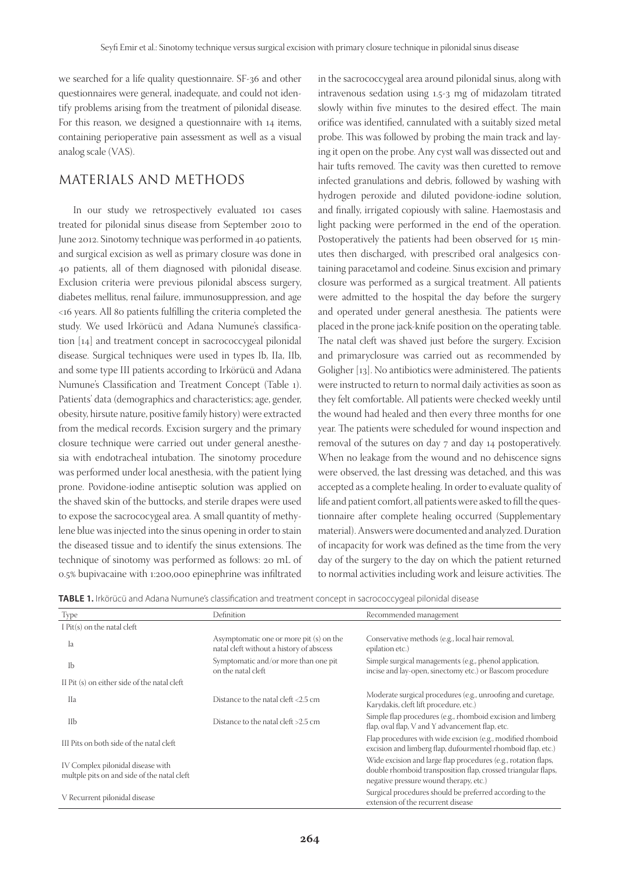we searched for a life quality questionnaire. SF-36 and other questionnaires were general, inadequate, and could not identify problems arising from the treatment of pilonidal disease. For this reason, we designed a questionnaire with 14 items, containing perioperative pain assessment as well as a visual analog scale (VAS).

## MATERIALS AND METHODS

In our study we retrospectively evaluated 101 cases treated for pilonidal sinus disease from September 2010 to June 2012. Sinotomy technique was performed in 40 patients, and surgical excision as well as primary closure was done in 40 patients, all of them diagnosed with pilonidal disease. Exclusion criteria were previous pilonidal abscess surgery, diabetes mellitus, renal failure, immunosuppression, and age  $<$ 16 years. All 80 patients fulfilling the criteria completed the study. We used Irkörücü and Adana Numune's classification [14] and treatment concept in sacrococcygeal pilonidal disease. Surgical techniques were used in types Ib, IIa, IIb, and some type III patients according to Irkörücü and Adana Numune's Classification and Treatment Concept (Table 1). Patients' data (demographics and characteristics; age, gender, obesity, hirsute nature, positive family history) were extracted from the medical records. Excision surgery and the primary closure technique were carried out under general anesthesia with endotracheal intubation. The sinotomy procedure was performed under local anesthesia, with the patient lying prone. Povidone-iodine antiseptic solution was applied on the shaved skin of the buttocks, and sterile drapes were used to expose the sacrococygeal area. A small quantity of methylene blue was injected into the sinus opening in order to stain the diseased tissue and to identify the sinus extensions. The technique of sinotomy was performed as follows: 20 mL of 0.5% bupivacaine with 1:200,000 epinephrine was infiltrated in the sacrococcygeal area around pilonidal sinus, along with intravenous sedation using 1.5-3 mg of midazolam titrated slowly within five minutes to the desired effect. The main orifice was identified, cannulated with a suitably sized metal probe. This was followed by probing the main track and laying it open on the probe. Any cyst wall was dissected out and hair tufts removed. The cavity was then curetted to remove infected granulations and debris, followed by washing with hydrogen peroxide and diluted povidone-iodine solution, and finally, irrigated copiously with saline. Haemostasis and light packing were performed in the end of the operation. Postoperatively the patients had been observed for 15 minutes then discharged, with prescribed oral analgesics containing paracetamol and codeine. Sinus excision and primary closure was performed as a surgical treatment. All patients were admitted to the hospital the day before the surgery and operated under general anesthesia. The patients were placed in the prone jack-knife position on the operating table. The natal cleft was shaved just before the surgery. Excision and primary closure was carried out as recommended by Goligher [13]. No antibiotics were administered. The patients were instructed to return to normal daily activities as soon as they felt comfortable. All patients were checked weekly until the wound had healed and then every three months for one year. The patients were scheduled for wound inspection and removal of the sutures on day 7 and day 14 postoperatively. When no leakage from the wound and no dehiscence signs were observed, the last dressing was detached, and this was accepted as a complete healing. In order to evaluate quality of life and patient comfort, all patients were asked to fill the questionnaire after complete healing occurred (Supplementary material). Answers were documented and analyzed. Duration of incapacity for work was defined as the time from the very day of the surgery to the day on which the patient returned to normal activities including work and leisure activities. The

|  |  |  | TABLE 1. Irkörücü and Adana Numune's classification and treatment concept in sacrococcygeal pilonidal disease |
|--|--|--|---------------------------------------------------------------------------------------------------------------|
|--|--|--|---------------------------------------------------------------------------------------------------------------|

| Type                                                                             | Definition                                                                          | Recommended management                                                                                                                                                    |  |
|----------------------------------------------------------------------------------|-------------------------------------------------------------------------------------|---------------------------------------------------------------------------------------------------------------------------------------------------------------------------|--|
| I Pit(s) on the natal cleft                                                      |                                                                                     |                                                                                                                                                                           |  |
| Iа                                                                               | Asymptomatic one or more pit (s) on the<br>natal cleft without a history of abscess | Conservative methods (e.g., local hair removal,<br>epilation etc.)                                                                                                        |  |
| Ib                                                                               | Symptomatic and/or more than one pit<br>on the natal cleft.                         | Simple surgical managements (e.g., phenol application,<br>incise and lay-open, sinectomy etc.) or Bascom procedure                                                        |  |
| II Pit (s) on either side of the natal cleft                                     |                                                                                     |                                                                                                                                                                           |  |
| <b>IIa</b>                                                                       | Distance to the natal cleft <2.5 cm                                                 | Moderate surgical procedures (e.g., unroofing and curetage,<br>Karydakis, cleft lift procedure, etc.)                                                                     |  |
| IIb                                                                              | Distance to the natal cleft >2.5 cm                                                 | Simple flap procedures (e.g., rhomboid excision and limberg<br>flap, oval flap, V and Y advancement flap, etc.                                                            |  |
| III Pits on both side of the natal cleft                                         |                                                                                     | Flap procedures with wide excision (e.g., modified rhomboid<br>excision and limberg flap, dufourmentel rhomboid flap, etc.)                                               |  |
| IV Complex pilonidal disease with<br>multple pits on and side of the natal cleft |                                                                                     | Wide excision and large flap procedures (e.g., rotation flaps,<br>double rhomboid transposition flap, crossed triangular flaps,<br>negative pressure wound therapy, etc.) |  |
| V Recurrent pilonidal disease                                                    |                                                                                     | Surgical procedures should be preferred according to the<br>extension of the recurrent disease                                                                            |  |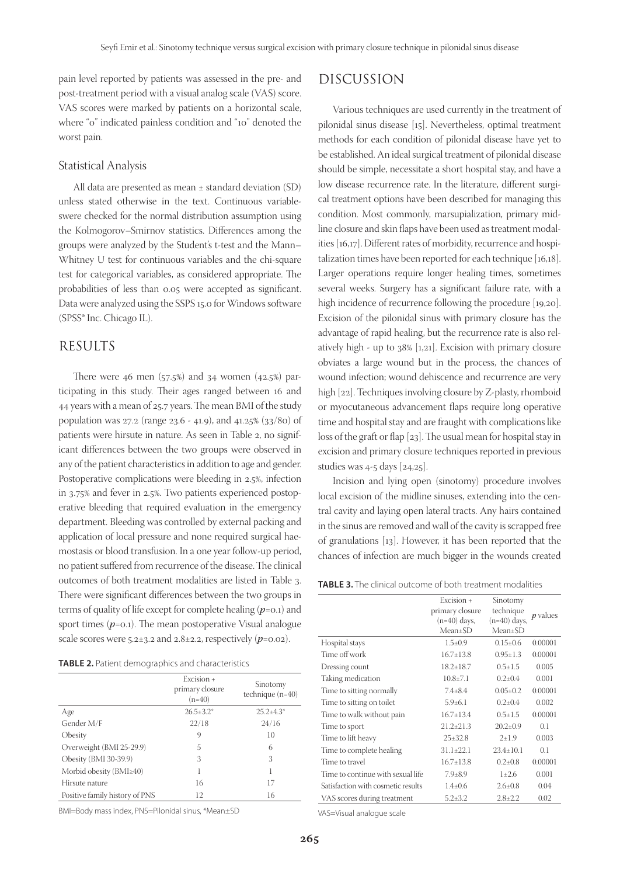pain level reported by patients was assessed in the pre- and post-treatment period with a visual analog scale (VAS) score. VAS scores were marked by patients on a horizontal scale, where "0" indicated painless condition and "10" denoted the worst pain.

#### Statistical Analysis

All data are presented as mean ± standard deviation (SD) unless stated otherwise in the text. Continuous variableswere checked for the normal distribution assumption using the Kolmogorov–Smirnov statistics. Differences among the groups were analyzed by the Student's t-test and the Mann– Whitney U test for continuous variables and the chi-square test for categorical variables, as considered appropriate. The probabilities of less than 0.05 were accepted as significant. Data were analyzed using the SSPS 15.0 for Windows software (SPSS® Inc. Chicago IL).

#### RESULTS

There were 46 men  $(57.5%)$  and 34 women  $(42.5%)$  participating in this study. Their ages ranged between 16 and 44 years with a mean of  $25.7$  years. The mean BMI of the study population was 27.2 (range 23.6 - 41.9), and 41.25% (33/80) of patients were hirsute in nature. As seen in Table 2, no significant differences between the two groups were observed in any of the patient characteristics in addition to age and gender. Postoperative complications were bleeding in 2.5%, infection in 3.75% and fever in 2.5%. Two patients experienced postoperative bleeding that required evaluation in the emergency department. Bleeding was controlled by external packing and application of local pressure and none required surgical haemostasis or blood transfusion. In a one year follow-up period, no patient suffered from recurrence of the disease. The clinical outcomes of both treatment modalities are listed in Table 3. There were significant differences between the two groups in terms of quality of life except for complete healing  $(p=0.1)$  and sport times  $(p=0.1)$ . The mean postoperative Visual analogue scale scores were  $5.2\pm3.2$  and  $2.8\pm2.2$ , respectively ( $p=0.02$ ).

|                                | Excision +<br>primary closure<br>$(n=40)$ | Sinotomy<br>technique $(n=40)$ |
|--------------------------------|-------------------------------------------|--------------------------------|
| Age                            | $26.5 \pm 3.2^*$                          | $25.2 \pm 4.3^*$               |
| Gender M/F                     | 22/18                                     | 24/16                          |
| Obesity                        | 9                                         | 10                             |
| Overweight (BMI 25-29.9)       | 5                                         | 6                              |
| Obesity (BMI 30-39.9)          | 3                                         | 3                              |
| Morbid obesity (BMI≥40)        | 1                                         |                                |
| Hirsute nature                 | 16                                        | 17                             |
| Positive family history of PNS | 12                                        | 16                             |

BMI=Body mass index, PNS=Pilonidal sinus, \*Mean±SD

#### DISCUSSION

Various techniques are used currently in the treatment of pilonidal sinus disease [15]. Nevertheless, optimal treatment methods for each condition of pilonidal disease have yet to be established. An ideal surgical treatment of pilonidal disease should be simple, necessitate a short hospital stay, and have a low disease recurrence rate. In the literature, different surgical treatment options have been described for managing this condition. Most commonly, marsupialization, primary midline closure and skin flaps have been used as treatment modalities [16,17]. Different rates of morbidity, recurrence and hospitalization times have been reported for each technique [16,18]. Larger operations require longer healing times, sometimes several weeks. Surgery has a significant failure rate, with a high incidence of recurrence following the procedure [19,20]. Excision of the pilonidal sinus with primary closure has the advantage of rapid healing, but the recurrence rate is also relatively high - up to  $38\%$  [1,21]. Excision with primary closure obviates a large wound but in the process, the chances of wound infection; wound dehiscence and recurrence are very high [22]. Techniques involving closure by Z-plasty, rhomboid or myocutaneous advancement flaps require long operative time and hospital stay and are fraught with complications like loss of the graft or flap  $[23]$ . The usual mean for hospital stay in excision and primary closure techniques reported in previous studies was 4-5 days [24,25].

Incision and lying open (sinotomy) procedure involves local excision of the midline sinuses, extending into the central cavity and laying open lateral tracts. Any hairs contained in the sinus are removed and wall of the cavity is scrapped free of granulations [13]. However, it has been reported that the chances of infection are much bigger in the wounds created

|  |  | <b>TABLE 3.</b> The clinical outcome of both treatment modalities |
|--|--|-------------------------------------------------------------------|
|--|--|-------------------------------------------------------------------|

|                                    | Excision $+$<br>primary closure<br>$(n=40)$ days,<br>$Mean+SD$ | Sinotomy<br>technique<br>$(n=40)$ days,<br>$Mean+SD$ | $p$ values |
|------------------------------------|----------------------------------------------------------------|------------------------------------------------------|------------|
| Hospital stays                     | $1.5 \pm 0.9$                                                  | $0.15 \pm 0.6$                                       | 0.00001    |
| Time off work                      | $16.7 \pm 13.8$                                                | $0.95 \pm 1.3$                                       | 0.00001    |
| Dressing count                     | $18.2 \pm 18.7$                                                | $0.5 + 1.5$                                          | 0.005      |
| Taking medication                  | $10.8{\pm}7.1$                                                 | $0.2 + 0.4$                                          | 0.001      |
| Time to sitting normally           | $7.4 \pm 8.4$                                                  | $0.05 + 0.2$                                         | 0.00001    |
| Time to sitting on toilet          | $5.9 \pm 6.1$                                                  | $0.2 + 0.4$                                          | 0.002      |
| Time to walk without pain          | $16.7 + 13.4$                                                  | $0.5+1.5$                                            | 0.00001    |
| Time to sport                      | $21.2 \pm 21.3$                                                | $20.2+0.9$                                           | 0.1        |
| Time to lift heavy                 | $25+32.8$                                                      | $2+1.9$                                              | 0.003      |
| Time to complete healing           | $31.1 \pm 22.1$                                                | $23.4 \pm 10.1$                                      | 0.1        |
| Time to travel                     | $16.7 \pm 13.8$                                                | $0.2{\pm}0.8$                                        | 0.00001    |
| Time to continue with sexual life  | $7.9{\pm}8.9$                                                  | $1+2.6$                                              | 0.001      |
| Satisfaction with cosmetic results | $1.4 \pm 0.6$                                                  | $2.6 + 0.8$                                          | 0.04       |
| VAS scores during treatment        | $5.2 \pm 3.2$                                                  | $2.8 \pm 2.2$                                        | 0.02       |

VAS=Visual analogue scale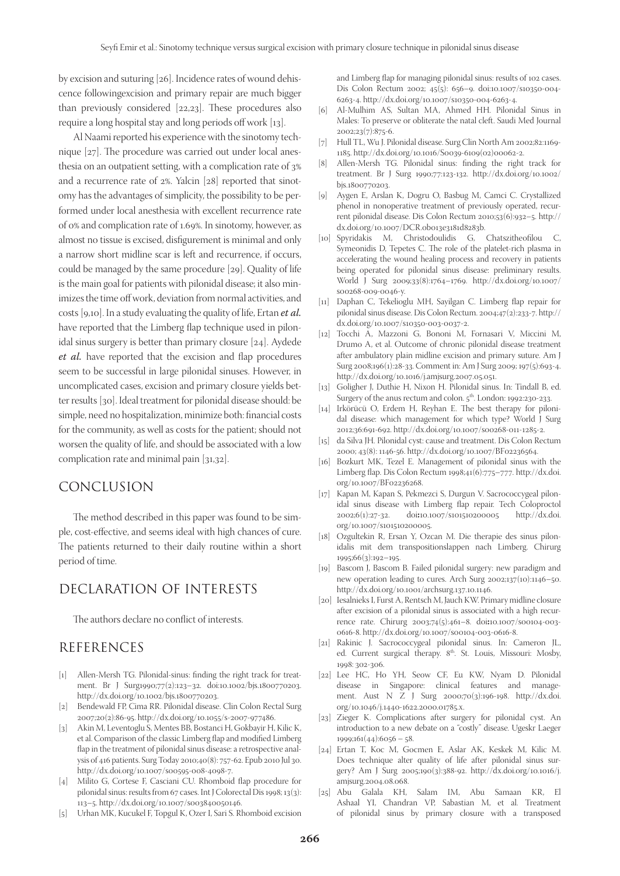by excision and suturing [26]. Incidence rates of wound dehiscence followingexcision and primary repair are much bigger than previously considered  $[22,23]$ . These procedures also require a long hospital stay and long periods off work [13].

Al Naami reported his experience with the sinotomy technique  $[27]$ . The procedure was carried out under local anesthesia on an outpatient setting, with a complication rate of 3 and a recurrence rate of  $2\%$ . Yalcin [ $28$ ] reported that sinotomy has the advantages of simplicity, the possibility to be performed under local anesthesia with excellent recurrence rate of 0% and complication rate of 1.69%. In sinotomy, however, as almost no tissue is excised, disfigurement is minimal and only a narrow short midline scar is left and recurrence, if occurs, could be managed by the same procedure [29]. Quality of life is the main goal for patients with pilonidal disease; it also minimizes the time off work, deviation from normal activities, and costs [9,10]. In a study evaluating the quality of life, Ertan et al. have reported that the Limberg flap technique used in pilonidal sinus surgery is better than primary closure [24]. Aydede et al. have reported that the excision and flap procedures seem to be successful in large pilonidal sinuses. However, in uncomplicated cases, excision and primary closure yields better results [30]. Ideal treatment for pilonidal disease should: be simple, need no hospitalization, minimize both: financial costs for the community, as well as costs for the patient; should not worsen the quality of life, and should be associated with a low complication rate and minimal pain [31,32].

#### CONCLUSION

The method described in this paper was found to be simple, cost-effective, and seems ideal with high chances of cure. The patients returned to their daily routine within a short period of time.

## DECLARATION OF INTERESTS

The authors declare no conflict of interests.

#### REFERENCES

- [1] Allen-Mersh TG. Pilonidal-sinus: finding the right track for treatment. Br J Surg1990;77(2):123–32. doi:10.1002/bjs.1800770203. http://dx.doi.org/10.1002/bjs.1800770203.
- [2] Bendewald FP, Cima RR. Pilonidal disease. Clin Colon Rectal Surg 2007;20(2):86-95. http://dx.doi.org/10.1055/s-2007-977486.
- [3] Akin M, Leventoglu S, Mentes BB, Bostanci H, Gokbayir H, Kilic K, et al. Comparison of the classic Limberg flap and modified Limberg flap in the treatment of pilonidal sinus disease: a retrospective analysis of 416 patients. Surg Today 2010;40(8): 757-62. Epub 2010 Jul 30. http://dx.doi.org/10.1007/s00595-008-4098-7.
- [4] Milito G, Cortese F, Casciani CU. Rhomboid flap procedure for pilonidal sinus: results from 67 cases. Int J Colorectal Dis 1998; 13(3): 113–5. http://dx.doi.org/10.1007/s003840050146.
- [5] Urhan MK, Kucukel F, Topgul K, Ozer I, Sari S. Rhomboid excision

and Limberg flap for managing pilonidal sinus: results of 102 cases. Dis Colon Rectum 2002; 45(5): 656–9. doi:10.1007/s10350-004- 6263-4. http://dx.doi.org/10.1007/s10350-004-6263-4.

- [6] Al-Mulhim AS, Sultan MA, Ahmed HH. Pilonidal Sinus in Males: To preserve or obliterate the natal cleft. Saudi Med Journal 2002;23(7):875-6.
- [7] Hull TL, Wu J. Pilonidal disease. Surg Clin North Am 2002;82:1169- 1185. http://dx.doi.org/10.1016/S0039-6109(02)00062-2.
- [8] Allen-Mersh TG. Pilonidal sinus: finding the right track for treatment. Br J Surg 1990;77:123-132. http://dx.doi.org/10.1002/ bjs.1800770203.
- [9] Aygen E, Arslan K, Dogru O, Basbug M, Camci C. Crystallized phenol in nonoperative treatment of previously operated, recurrent pilonidal disease. Dis Colon Rectum 2010;53(6):932–5. http:// dx.doi.org/10.1007/DCR.0b013e3181d8283b.
- [10] Spyridakis M, Christodoulidis G, Chatszitheofilou C, Symeonidis D, Tepetes C. The role of the platelet-rich plasma in accelerating the wound healing process and recovery in patients being operated for pilonidal sinus disease: preliminary results. World J Surg 2009;33(8):1764–1769. http://dx.doi.org/10.1007/ s00268-009-0046-y.
- [11] Daphan C, Tekelioglu MH, Sayilgan C. Limberg flap repair for pilonidal sinus disease. Dis Colon Rectum. 2004;47(2):233-7. http:// dx.doi.org/10.1007/s10350-003-0037-2.
- [12] Tocchi A, Mazzoni G, Bononi M, Fornasari V, Miccini M, Drumo A, et al. Outcome of chronic pilonidal disease treatment after ambulatory plain midline excision and primary suture. Am J Surg 2008;196(1):28-33. Comment in: Am J Surg 2009; 197(5):693-4. http://dx.doi.org/10.1016/j.amjsurg.2007.05.051.
- [13] Goligher J, Duthie H, Nixon H. Pilonidal sinus. In: Tindall B, ed. Surgery of the anus rectum and colon. 5<sup>th</sup>. London: 1992:230-233.
- [14] Irkörücü O, Erdem H, Reyhan E. The best therapy for pilonidal disease: which management for which type? World J Surg 2012;36:691-692. http://dx.doi.org/10.1007/s00268-011-1285-2.
- [15] da Silva JH. Pilonidal cyst: cause and treatment. Dis Colon Rectum 2000; 43(8): 1146-56. http://dx.doi.org/10.1007/BF02236564.
- [16] Bozkurt MK, Tezel E. Management of pilonidal sinus with the Limberg flap. Dis Colon Rectum 1998;41(6):775–777. http://dx.doi. org/10.1007/BF02236268.
- [17] Kapan M, Kapan S, Pekmezci S, Durgun V. Sacrococcygeal pilonidal sinus disease with Limberg flap repair. Tech Coloproctol  $2002;6(1):27-32$ . doi:10.1007/s101510200005 http://dx.doi. 2002;6(1):27-32. doi**:**10.1007/s101510200005 org/10.1007/s101510200005.
- [18] Ozgultekin R, Ersan Y, Ozcan M. Die therapie des sinus pilonidalis mit dem transpositionslappen nach Limberg. Chirurg 1995;66(3):192–195.
- [19] Bascom J, Bascom B. Failed pilonidal surgery: new paradigm and new operation leading to cures. Arch Surg 2002;137(10):1146–50. http://dx.doi.org/10.1001/archsurg.137.10.1146.
- [20] Iesalnieks I, Furst A, Rentsch M, Jauch KW. Primary midline closure after excision of a pilonidal sinus is associated with a high recurrence rate. Chirurg 2003;74(5):461–8. doi**:**10.1007/s00104-003- 0616-8. http://dx.doi.org/10.1007/s00104-003-0616-8.
- [21] Rakinic J. Sacrococcygeal pilonidal sinus. In: Cameron JL, ed. Current surgical therapy. 8<sup>th</sup>. St. Louis, Missouri: Mosby, 1998: 302-306.
- [22] Lee HC, Ho YH, Seow CF, Eu KW, Nyam D. Pilonidal disease in Singapore: clinical features and management. Aust N Z J Surg 2000;70(3):196-198. http://dx.doi. org/10.1046/j.1440-1622.2000.01785.x.
- [23] Zieger K. Complications after surgery for pilonidal cyst. An introduction to a new debate on a "costly" disease. Ugeskr Laeger  $1999;161(44):6056-58.$
- [24] Ertan T, Koc M, Gocmen E, Aslar AK, Keskek M, Kilic M. Does technique alter quality of life after pilonidal sinus surgery? Am J Surg 2005;190(3):388-92. http://dx.doi.org/10.1016/j. amjsurg.2004.08.068.
- [25] Abu Galala KH, Salam IM, Abu Samaan KR, El Ashaal YI, Chandran VP, Sabastian M, et al. Treatment of pilonidal sinus by primary closure with a transposed